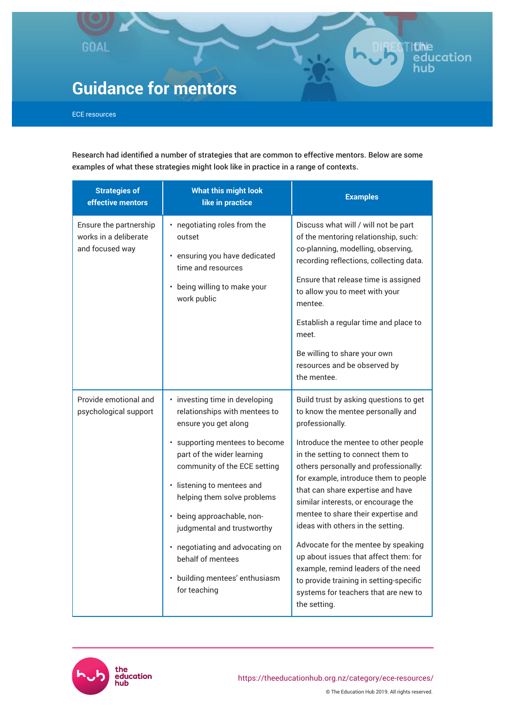## GOAL

# **Guidance for mentors**

ECE resources

Research had identified a number of strategies that are common to effective mentors. Below are some examples of what these strategies might look like in practice in a range of contexts.

| <b>Strategies of</b><br>effective mentors                          | <b>What this might look</b><br>like in practice                                                                                                                                                                                                                                                                                                                                                                          | <b>Examples</b>                                                                                                                                                                                                                                                                                                                                                                                                                                                                                                                                                                                                                                 |
|--------------------------------------------------------------------|--------------------------------------------------------------------------------------------------------------------------------------------------------------------------------------------------------------------------------------------------------------------------------------------------------------------------------------------------------------------------------------------------------------------------|-------------------------------------------------------------------------------------------------------------------------------------------------------------------------------------------------------------------------------------------------------------------------------------------------------------------------------------------------------------------------------------------------------------------------------------------------------------------------------------------------------------------------------------------------------------------------------------------------------------------------------------------------|
| Ensure the partnership<br>works in a deliberate<br>and focused way | • negotiating roles from the<br>outset<br>· ensuring you have dedicated<br>time and resources<br>• being willing to make your<br>work public                                                                                                                                                                                                                                                                             | Discuss what will / will not be part<br>of the mentoring relationship, such:<br>co-planning, modelling, observing,<br>recording reflections, collecting data.<br>Ensure that release time is assigned<br>to allow you to meet with your<br>mentee.<br>Establish a regular time and place to<br>meet.<br>Be willing to share your own<br>resources and be observed by<br>the mentee.                                                                                                                                                                                                                                                             |
| Provide emotional and<br>psychological support                     | • investing time in developing<br>relationships with mentees to<br>ensure you get along<br>supporting mentees to become<br>part of the wider learning<br>community of the ECE setting<br>· listening to mentees and<br>helping them solve problems<br>• being approachable, non-<br>judgmental and trustworthy<br>• negotiating and advocating on<br>behalf of mentees<br>• building mentees' enthusiasm<br>for teaching | Build trust by asking questions to get<br>to know the mentee personally and<br>professionally.<br>Introduce the mentee to other people<br>in the setting to connect them to<br>others personally and professionally:<br>for example, introduce them to people<br>that can share expertise and have<br>similar interests, or encourage the<br>mentee to share their expertise and<br>ideas with others in the setting.<br>Advocate for the mentee by speaking<br>up about issues that affect them: for<br>example, remind leaders of the need<br>to provide training in setting-specific<br>systems for teachers that are new to<br>the setting. |



l**th**e<br>education

hub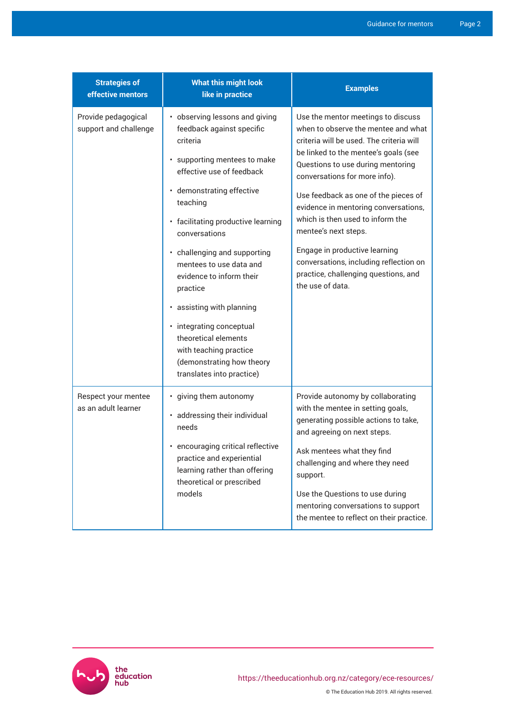| <b>Strategies of</b><br>effective mentors    | What this might look<br>like in practice                                                                                                                                                                                                                                                                                                                                                                                                                                                                   | <b>Examples</b>                                                                                                                                                                                                                                                                                                                                                                                                                                                                                                        |
|----------------------------------------------|------------------------------------------------------------------------------------------------------------------------------------------------------------------------------------------------------------------------------------------------------------------------------------------------------------------------------------------------------------------------------------------------------------------------------------------------------------------------------------------------------------|------------------------------------------------------------------------------------------------------------------------------------------------------------------------------------------------------------------------------------------------------------------------------------------------------------------------------------------------------------------------------------------------------------------------------------------------------------------------------------------------------------------------|
| Provide pedagogical<br>support and challenge | • observing lessons and giving<br>feedback against specific<br>criteria<br>supporting mentees to make<br>effective use of feedback<br>• demonstrating effective<br>teaching<br>• facilitating productive learning<br>conversations<br>• challenging and supporting<br>mentees to use data and<br>evidence to inform their<br>practice<br>• assisting with planning<br>• integrating conceptual<br>theoretical elements<br>with teaching practice<br>(demonstrating how theory<br>translates into practice) | Use the mentor meetings to discuss<br>when to observe the mentee and what<br>criteria will be used. The criteria will<br>be linked to the mentee's goals (see<br>Questions to use during mentoring<br>conversations for more info).<br>Use feedback as one of the pieces of<br>evidence in mentoring conversations,<br>which is then used to inform the<br>mentee's next steps.<br>Engage in productive learning<br>conversations, including reflection on<br>practice, challenging questions, and<br>the use of data. |
| Respect your mentee<br>as an adult learner   | • giving them autonomy<br>· addressing their individual<br>needs<br>encouraging critical reflective<br>practice and experiential<br>learning rather than offering<br>theoretical or prescribed<br>models                                                                                                                                                                                                                                                                                                   | Provide autonomy by collaborating<br>with the mentee in setting goals,<br>generating possible actions to take,<br>and agreeing on next steps.<br>Ask mentees what they find<br>challenging and where they need<br>support.<br>Use the Questions to use during<br>mentoring conversations to support<br>the mentee to reflect on their practice.                                                                                                                                                                        |